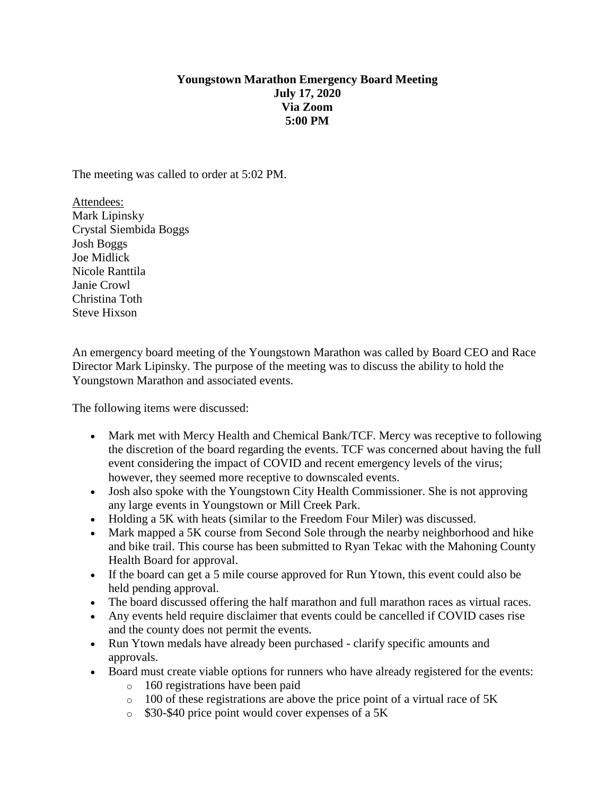## **Youngstown Marathon Emergency Board Meeting July 17, 2020 Via Zoom 5:00 PM**

The meeting was called to order at 5:02 PM.

Attendees: Mark Lipinsky Crystal Siembida Boggs Josh Boggs Joe Midlick Nicole Ranttila Janie Crowl Christina Toth Steve Hixson

An emergency board meeting of the Youngstown Marathon was called by Board CEO and Race Director Mark Lipinsky. The purpose of the meeting was to discuss the ability to hold the Youngstown Marathon and associated events.

The following items were discussed:

- Mark met with Mercy Health and Chemical Bank/TCF. Mercy was receptive to following the discretion of the board regarding the events. TCF was concerned about having the full event considering the impact of COVID and recent emergency levels of the virus; however, they seemed more receptive to downscaled events.
- Josh also spoke with the Youngstown City Health Commissioner. She is not approving any large events in Youngstown or Mill Creek Park.
- Holding a 5K with heats (similar to the Freedom Four Miler) was discussed.
- Mark mapped a 5K course from Second Sole through the nearby neighborhood and hike and bike trail. This course has been submitted to Ryan Tekac with the Mahoning County Health Board for approval.
- If the board can get a 5 mile course approved for Run Ytown, this event could also be held pending approval.
- The board discussed offering the half marathon and full marathon races as virtual races.
- Any events held require disclaimer that events could be cancelled if COVID cases rise and the county does not permit the events.
- Run Ytown medals have already been purchased clarify specific amounts and approvals.
- Board must create viable options for runners who have already registered for the events:
	- o 160 registrations have been paid
	- $\circ$  100 of these registrations are above the price point of a virtual race of 5K
	- o \$30-\$40 price point would cover expenses of a 5K